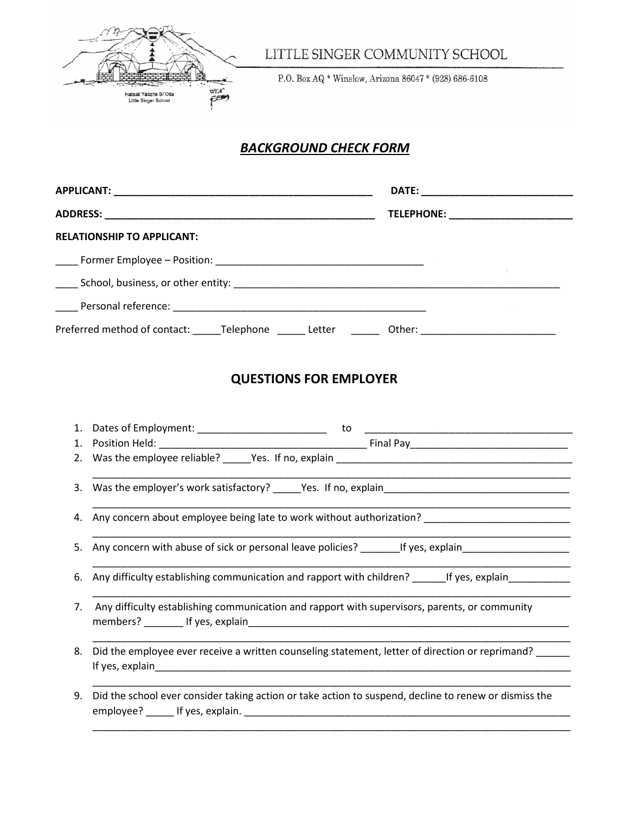

LITTLE SINGER COMMUNITY SCHOOL

P.O. Box AQ \* Winslow, Arizona 86047 \* (928) 686-6108

## *BACKGROUND CHECK FORM*

|                                                     |        | TELEPHONE: ________________________ |
|-----------------------------------------------------|--------|-------------------------------------|
| <b>RELATIONSHIP TO APPLICANT:</b>                   |        |                                     |
|                                                     |        |                                     |
|                                                     |        |                                     |
|                                                     |        |                                     |
| Preferred method of contact:<br>Telephone<br>Letter | Other: |                                     |

## **QUESTIONS FOR EMPLOYER**

|    | 3. Was the employer's work satisfactory? _____Yes. If no, explain___________________________________       |
|----|------------------------------------------------------------------------------------------------------------|
|    | 4. Any concern about employee being late to work without authorization? ___________________________        |
|    | 5. Any concern with abuse of sick or personal leave policies? ________If yes, explain_____________________ |
|    | 6. Any difficulty establishing communication and rapport with children? 1998 If yes, explain               |
|    | 7. Any difficulty establishing communication and rapport with supervisors, parents, or community           |
| 8. | Did the employee ever receive a written counseling statement, letter of direction or reprimand?            |
| 9. | Did the school ever consider taking action or take action to suspend, decline to renew or dismiss the      |